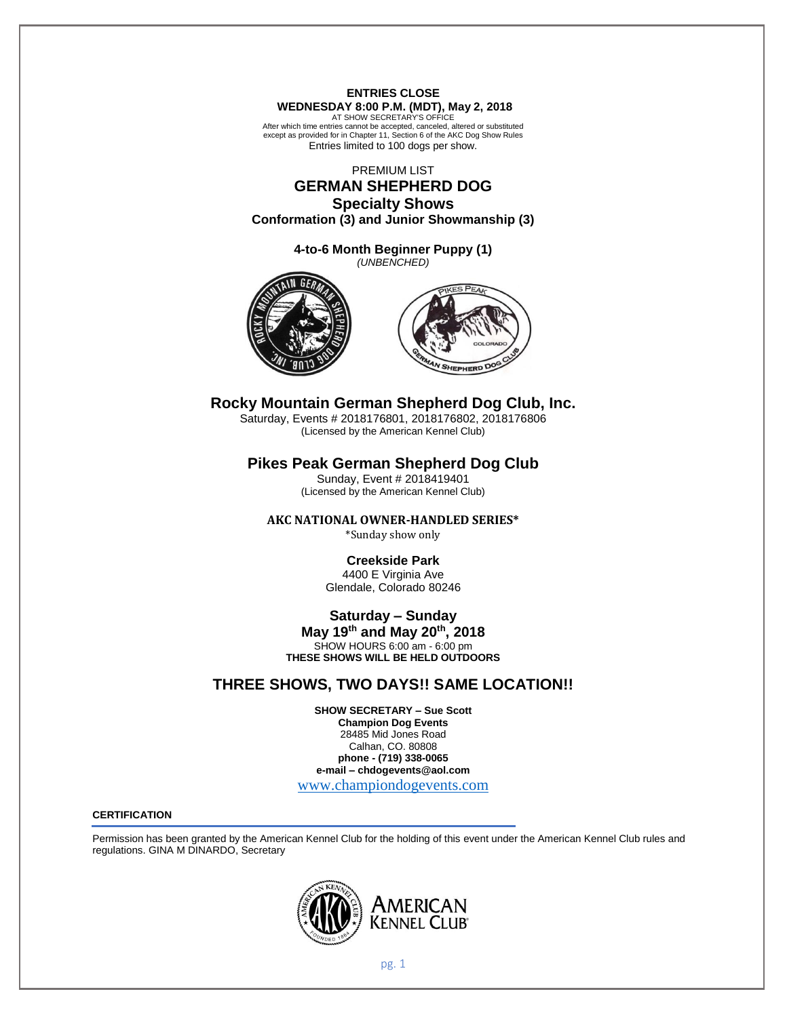# **ENTRIES CLOSE WEDNESDAY 8:00 P.M. (MDT), May 2, 2018**

AT SHOW SECRETARY'S OFFICE After which time entries cannot be accepted, canceled, altered or substituted except as provided for in Chapter 11, Section 6 of the AKC Dog Show Rules Entries limited to 100 dogs per show.

PREMIUM LIST

# **GERMAN SHEPHERD DOG Specialty Shows**

**Conformation (3) and Junior Showmanship (3)**

**4-to-6 Month Beginner Puppy (1)** *(UNBENCHED)*





# **Rocky Mountain German Shepherd Dog Club, Inc.**

Saturday, Events # 2018176801, 2018176802, 2018176806 (Licensed by the American Kennel Club)

# **Pikes Peak German Shepherd Dog Club**

Sunday, Event # 2018419401 (Licensed by the American Kennel Club)

# **AKC NATIONAL OWNER-HANDLED SERIES\***

\*Sunday show only

# **Creekside Park**

4400 E Virginia Ave Glendale, Colorado 80246

# **Saturday – Sunday**

**May 19th and May 20th, 2018** SHOW HOURS 6:00 am - 6:00 pm **THESE SHOWS WILL BE HELD OUTDOORS**

# **THREE SHOWS, TWO DAYS!! SAME LOCATION!!**

**SHOW SECRETARY – Sue Scott Champion Dog Events** 28485 Mid Jones Road Calhan, CO. 80808 **phone - (719) 338-0065 e-mail – chdogevents@aol.com**

[www.championdogevents.com](http://www.championdogevents.com/)

# **CERTIFICATION**

Permission has been granted by the American Kennel Club for the holding of this event under the American Kennel Club rules and regulations. GINA M DINARDO, Secretary

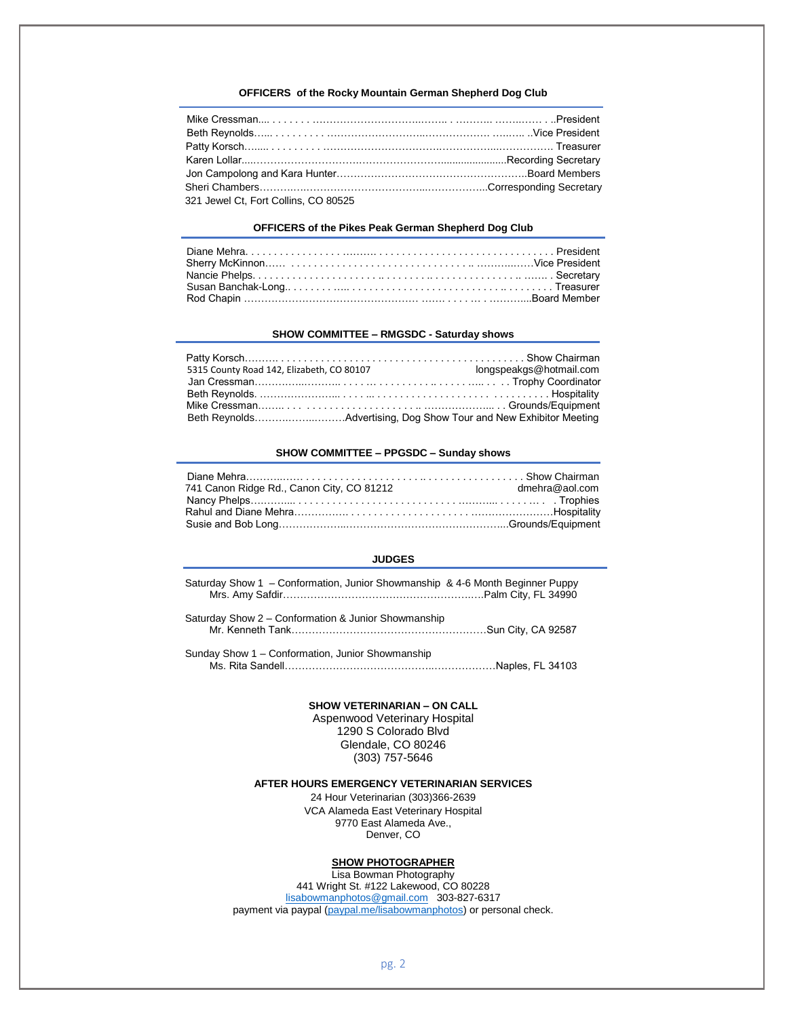# **OFFICERS of the Rocky Mountain German Shepherd Dog Club**

| 321 Jewel Ct, Fort Collins, CO 80525 |  |
|--------------------------------------|--|

## **OFFICERS of the Pikes Peak German Shepherd Dog Club**

### **SHOW COMMITTEE – RMGSDC - Saturday shows**

| 5315 County Road 142, Elizabeth, CO 80107 | longspeakgs@hotmail.com                                           |
|-------------------------------------------|-------------------------------------------------------------------|
|                                           |                                                                   |
|                                           |                                                                   |
|                                           |                                                                   |
|                                           | Beth ReynoldsAdvertising, Dog Show Tour and New Exhibitor Meeting |

# **SHOW COMMITTEE – PPGSDC – Sunday shows**

| 741 Canon Ridge Rd., Canon City, CO 81212 | dmehra@aol.com |
|-------------------------------------------|----------------|
|                                           |                |
|                                           |                |
|                                           |                |

## **JUDGES**

| Saturday Show 1 - Conformation, Junior Showmanship & 4-6 Month Beginner Puppy |  |
|-------------------------------------------------------------------------------|--|
|                                                                               |  |

Saturday Show 2 – Conformation & Junior Showmanship Mr. Kenneth Tank…………………………………………………Sun City, CA 92587

Sunday Show 1 – Conformation, Junior Showmanship Ms. Rita Sandell……………………………………..………………Naples, FL 34103

### **SHOW VETERINARIAN – ON CALL**

Aspenwood Veterinary Hospital 1290 S Colorado Blvd Glendale, CO 80246 (303) 757-5646

## **AFTER HOURS EMERGENCY VETERINARIAN SERVICES**

24 Hour Veterinarian (303)366-2639 VCA Alameda East Veterinary Hospital 9770 East Alameda Ave., Denver, CO

# **SHOW PHOTOGRAPHER**

Lisa Bowman Photography 441 Wright St. #122 Lakewood, CO 80228 [lisabowmanphotos@gmail.com](mailto:lisabowmanphotos@gmail.com) 303-827-6317 payment via paypal [\(paypal.me/lisabowmanphotos\)](http://paypal.me/lisabowmanphotos) or personal check.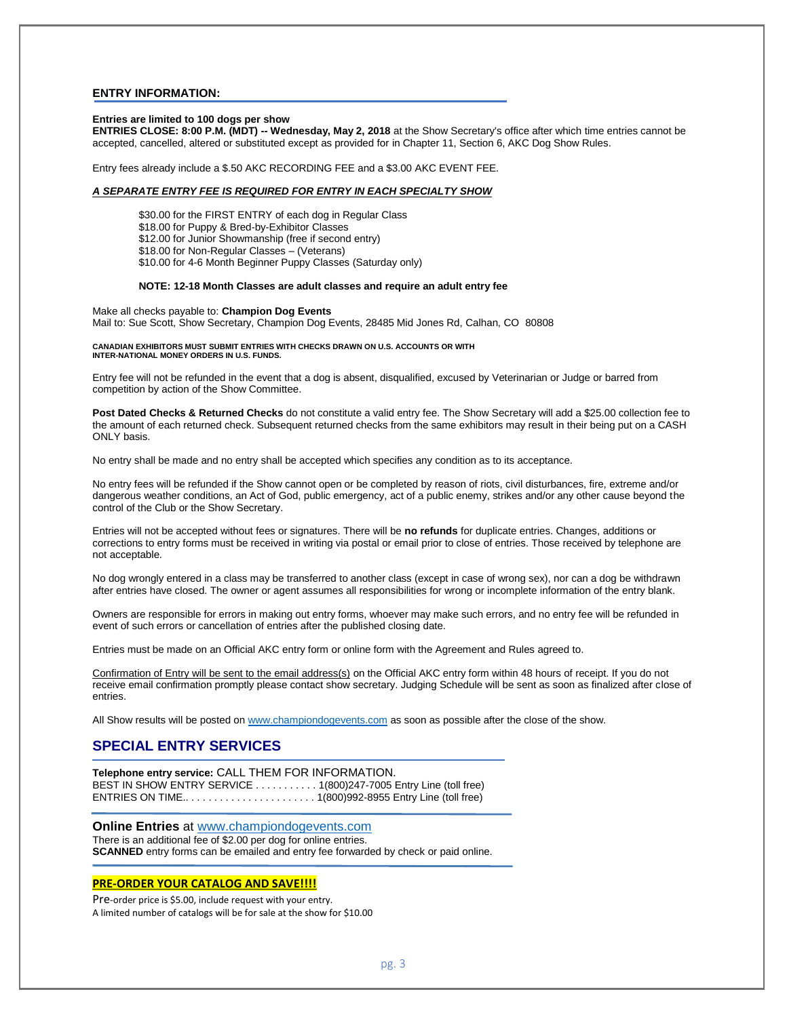## **ENTRY INFORMATION:**

### **Entries are limited to 100 dogs per show**

**ENTRIES CLOSE: 8:00 P.M. (MDT) -- Wednesday, May 2, 2018** at the Show Secretary's office after which time entries cannot be accepted, cancelled, altered or substituted except as provided for in Chapter 11, Section 6, AKC Dog Show Rules.

Entry fees already include a \$.50 AKC RECORDING FEE and a \$3.00 AKC EVENT FEE.

### *A SEPARATE ENTRY FEE IS REQUIRED FOR ENTRY IN EACH SPECIALTY SHOW*

\$30.00 for the FIRST ENTRY of each dog in Regular Class \$18.00 for Puppy & Bred-by-Exhibitor Classes \$12.00 for Junior Showmanship (free if second entry) \$18.00 for Non-Regular Classes – (Veterans) \$10.00 for 4-6 Month Beginner Puppy Classes (Saturday only)

#### **NOTE: 12-18 Month Classes are adult classes and require an adult entry fee**

Make all checks payable to: **Champion Dog Events** Mail to: Sue Scott, Show Secretary, Champion Dog Events, 28485 Mid Jones Rd, Calhan, CO 80808

#### **CANADIAN EXHIBITORS MUST SUBMIT ENTRIES WITH CHECKS DRAWN ON U.S. ACCOUNTS OR WITH INTER-NATIONAL MONEY ORDERS IN U.S. FUNDS.**

Entry fee will not be refunded in the event that a dog is absent, disqualified, excused by Veterinarian or Judge or barred from competition by action of the Show Committee.

**Post Dated Checks & Returned Checks** do not constitute a valid entry fee. The Show Secretary will add a \$25.00 collection fee to the amount of each returned check. Subsequent returned checks from the same exhibitors may result in their being put on a CASH ONLY basis.

No entry shall be made and no entry shall be accepted which specifies any condition as to its acceptance.

No entry fees will be refunded if the Show cannot open or be completed by reason of riots, civil disturbances, fire, extreme and/or dangerous weather conditions, an Act of God, public emergency, act of a public enemy, strikes and/or any other cause beyond the control of the Club or the Show Secretary.

Entries will not be accepted without fees or signatures. There will be **no refunds** for duplicate entries. Changes, additions or corrections to entry forms must be received in writing via postal or email prior to close of entries. Those received by telephone are not acceptable.

No dog wrongly entered in a class may be transferred to another class (except in case of wrong sex), nor can a dog be withdrawn after entries have closed. The owner or agent assumes all responsibilities for wrong or incomplete information of the entry blank.

Owners are responsible for errors in making out entry forms, whoever may make such errors, and no entry fee will be refunded in event of such errors or cancellation of entries after the published closing date.

Entries must be made on an Official AKC entry form or online form with the Agreement and Rules agreed to.

Confirmation of Entry will be sent to the email address(s) on the Official AKC entry form within 48 hours of receipt. If you do not receive email confirmation promptly please contact show secretary. Judging Schedule will be sent as soon as finalized after close of entries.

All Show results will be posted on [www.championdogevents.com](http://www.championdogevents.com/) as soon as possible after the close of the show.

# **SPECIAL ENTRY SERVICES**

**Telephone entry service:** CALL THEM FOR INFORMATION. BEST IN SHOW ENTRY SERVICE . . . . . . . . . . . 1(800)247-7005 Entry Line (toll free) ENTRIES ON TIME.. . . . . . . . . . . . . . . . . . . . . . . 1(800)992-8955 Entry Line (toll free)

**Online Entries** at [www.championdogevents.com](http://www.championdogevents.com/) There is an additional fee of \$2.00 per dog for online entries. **SCANNED** entry forms can be emailed and entry fee forwarded by check or paid online.

# **PRE-ORDER YOUR CATALOG AND SAVE!!!!**

Pre-order price is \$5.00, include request with your entry. A limited number of catalogs will be for sale at the show for \$10.00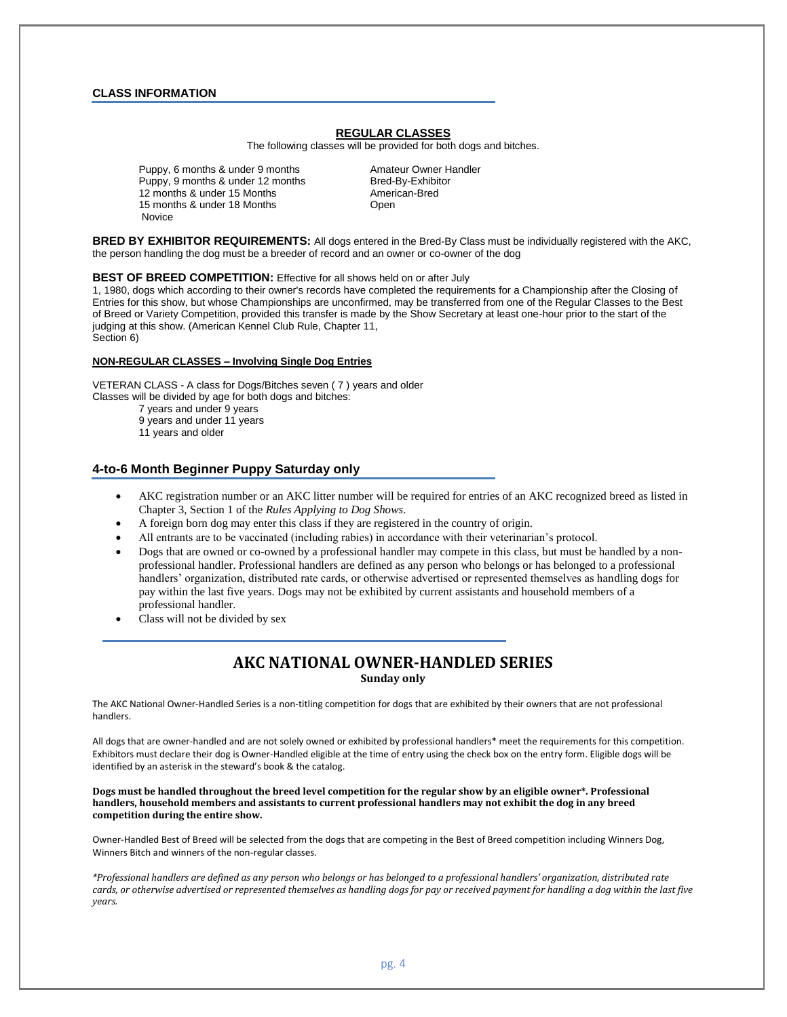## **CLASS INFORMATION**

# **REGULAR CLASSES**

The following classes will be provided for both dogs and bitches.

Puppy, 6 months & under 9 months Amateur Owner Handler Puppy, 9 months & under 12 months Bred-By-Exhibitor<br>12 months & under 15 Months **Brown Bred** American-Bred 12 months & under 15 Months 15 months & under 18 Months **Canadian Company** Open Novice

**BRED BY EXHIBITOR REQUIREMENTS:** All dogs entered in the Bred-By Class must be individually registered with the AKC, the person handling the dog must be a breeder of record and an owner or co-owner of the dog

#### **BEST OF BREED COMPETITION:** Effective for all shows held on or after July

1, 1980, dogs which according to their owner's records have completed the requirements for a Championship after the Closing of Entries for this show, but whose Championships are unconfirmed, may be transferred from one of the Regular Classes to the Best of Breed or Variety Competition, provided this transfer is made by the Show Secretary at least one-hour prior to the start of the judging at this show. (American Kennel Club Rule, Chapter 11, Section 6)

#### **NON-REGULAR CLASSES – Involving Single Dog Entries**

VETERAN CLASS - A class for Dogs/Bitches seven ( 7 ) years and older Classes will be divided by age for both dogs and bitches: 7 years and under 9 years 9 years and under 11 years 11 years and older

# **4-to-6 Month Beginner Puppy Saturday only**

- AKC registration number or an AKC litter number will be required for entries of an AKC recognized breed as listed in Chapter 3, Section 1 of the *Rules Applying to Dog Shows*.
- A foreign born dog may enter this class if they are registered in the country of origin.
- All entrants are to be vaccinated (including rabies) in accordance with their veterinarian's protocol.
- Dogs that are owned or co-owned by a professional handler may compete in this class, but must be handled by a nonprofessional handler. Professional handlers are defined as any person who belongs or has belonged to a professional handlers' organization, distributed rate cards, or otherwise advertised or represented themselves as handling dogs for pay within the last five years. Dogs may not be exhibited by current assistants and household members of a professional handler.
- Class will not be divided by sex

# **AKC NATIONAL OWNER-HANDLED SERIES Sunday only**

The AKC National Owner-Handled Series is a non-titling competition for dogs that are exhibited by their owners that are not professional handlers.

All dogs that are owner-handled and are not solely owned or exhibited by professional handlers\* meet the requirements for this competition. Exhibitors must declare their dog is Owner-Handled eligible at the time of entry using the check box on the entry form. Eligible dogs will be identified by an asterisk in the steward's book & the catalog.

### **Dogs must be handled throughout the breed level competition for the regular show by an eligible owner\*. Professional handlers, household members and assistants to current professional handlers may not exhibit the dog in any breed competition during the entire show.**

Owner-Handled Best of Breed will be selected from the dogs that are competing in the Best of Breed competition including Winners Dog, Winners Bitch and winners of the non-regular classes.

*\*Professional handlers are defined as any person who belongs or has belonged to a professional handlers' organization, distributed rate cards, or otherwise advertised or represented themselves as handling dogs for pay or received payment for handling a dog within the last five years.*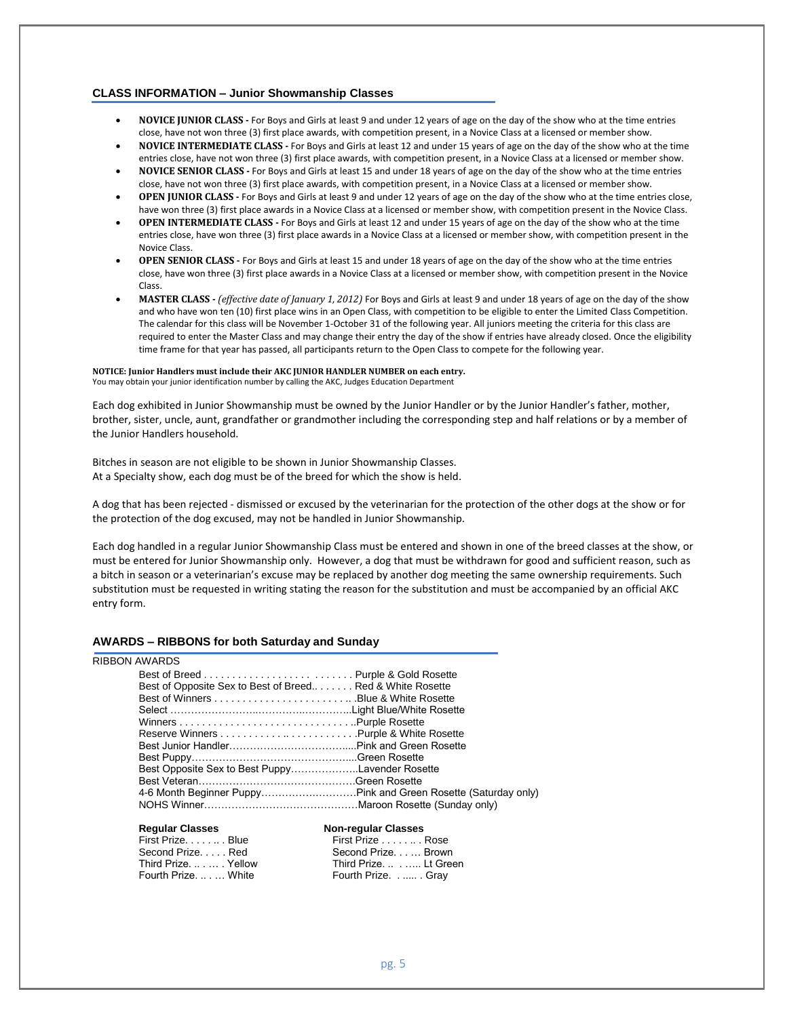## **CLASS INFORMATION – Junior Showmanship Classes**

- **NOVICE JUNIOR CLASS -** For Boys and Girls at least 9 and under 12 years of age on the day of the show who at the time entries close, have not won three (3) first place awards, with competition present, in a Novice Class at a licensed or member show.
- **NOVICE INTERMEDIATE CLASS -** For Boys and Girls at least 12 and under 15 years of age on the day of the show who at the time entries close, have not won three (3) first place awards, with competition present, in a Novice Class at a licensed or member show.
- **NOVICE SENIOR CLASS -** For Boys and Girls at least 15 and under 18 years of age on the day of the show who at the time entries close, have not won three (3) first place awards, with competition present, in a Novice Class at a licensed or member show.
- **OPEN JUNIOR CLASS -** For Boys and Girls at least 9 and under 12 years of age on the day of the show who at the time entries close, have won three (3) first place awards in a Novice Class at a licensed or member show, with competition present in the Novice Class.
- **OPEN INTERMEDIATE CLASS -** For Boys and Girls at least 12 and under 15 years of age on the day of the show who at the time entries close, have won three (3) first place awards in a Novice Class at a licensed or member show, with competition present in the Novice Class.
- **OPEN SENIOR CLASS -** For Boys and Girls at least 15 and under 18 years of age on the day of the show who at the time entries close, have won three (3) first place awards in a Novice Class at a licensed or member show, with competition present in the Novice Class.
- **MASTER CLASS -** *(effective date of January 1, 2012)* For Boys and Girls at least 9 and under 18 years of age on the day of the show and who have won ten (10) first place wins in an Open Class, with competition to be eligible to enter the Limited Class Competition. The calendar for this class will be November 1-October 31 of the following year. All juniors meeting the criteria for this class are required to enter the Master Class and may change their entry the day of the show if entries have already closed. Once the eligibility time frame for that year has passed, all participants return to the Open Class to compete for the following year.

## **NOTICE: Junior Handlers must include their AKC JUNIOR HANDLER NUMBER on each entry.**

You may obtain your junior identification number by calling the AKC, Judges Education Department

Each dog exhibited in Junior Showmanship must be owned by the Junior Handler or by the Junior Handler's father, mother, brother, sister, uncle, aunt, grandfather or grandmother including the corresponding step and half relations or by a member of the Junior Handlers household.

Bitches in season are not eligible to be shown in Junior Showmanship Classes. At a Specialty show, each dog must be of the breed for which the show is held.

A dog that has been rejected - dismissed or excused by the veterinarian for the protection of the other dogs at the show or for the protection of the dog excused, may not be handled in Junior Showmanship.

Each dog handled in a regular Junior Showmanship Class must be entered and shown in one of the breed classes at the show, or must be entered for Junior Showmanship only. However, a dog that must be withdrawn for good and sufficient reason, such as a bitch in season or a veterinarian's excuse may be replaced by another dog meeting the same ownership requirements. Such substitution must be requested in writing stating the reason for the substitution and must be accompanied by an official AKC entry form.

## **AWARDS – RIBBONS for both Saturday and Sunday**

# RIBBON AWARDS

| Best of Opposite Sex to Best of Breed Red & White Rosette |  |
|-----------------------------------------------------------|--|
|                                                           |  |
|                                                           |  |
|                                                           |  |
|                                                           |  |
|                                                           |  |
|                                                           |  |
| Best Opposite Sex to Best PuppyLavender Rosette           |  |
|                                                           |  |
|                                                           |  |
|                                                           |  |
|                                                           |  |

#### **Regular Classes Non-regular Classes**

| First Prize. Blue  | First Prize Rose      |  |
|--------------------|-----------------------|--|
| Second PrizeRed    | Second Prize Brown    |  |
| Third PrizeYellow  | Third Prize. Lt Green |  |
| Fourth Prize White | Fourth Prize Gray     |  |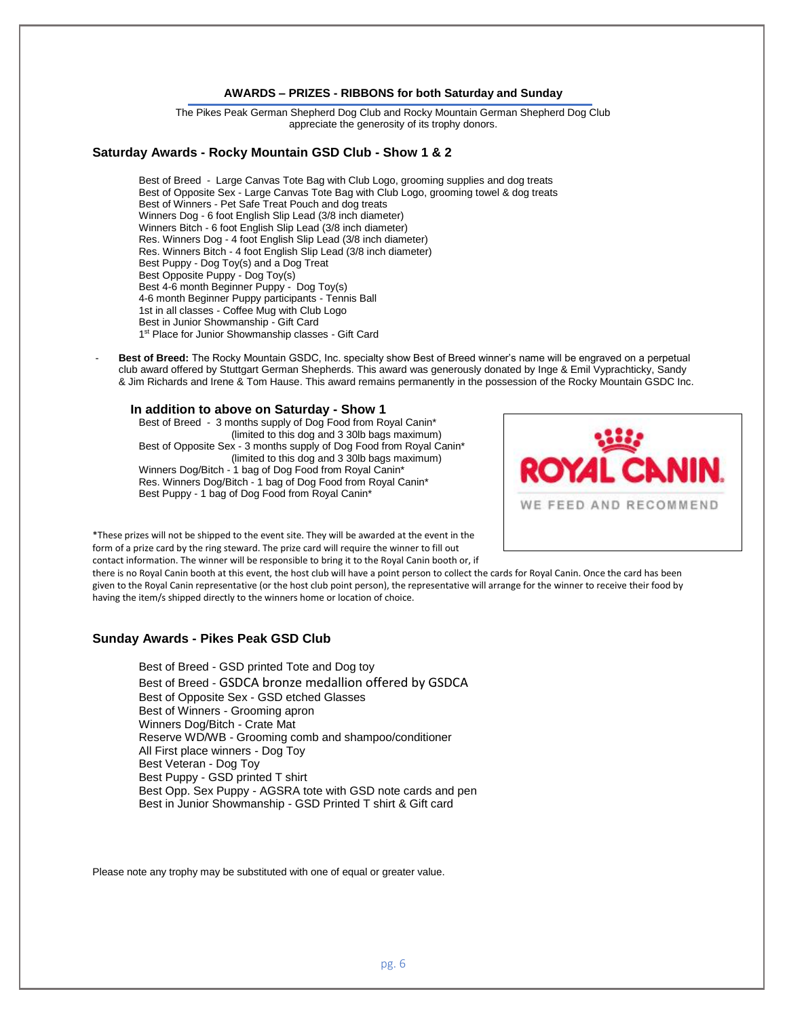# **AWARDS – PRIZES - RIBBONS for both Saturday and Sunday**

The Pikes Peak German Shepherd Dog Club and Rocky Mountain German Shepherd Dog Club appreciate the generosity of its trophy donors.

# **Saturday Awards - Rocky Mountain GSD Club - Show 1 & 2**

Best of Breed - Large Canvas Tote Bag with Club Logo, grooming supplies and dog treats Best of Opposite Sex - Large Canvas Tote Bag with Club Logo, grooming towel & dog treats Best of Winners - Pet Safe Treat Pouch and dog treats Winners Dog - 6 foot English Slip Lead (3/8 inch diameter) Winners Bitch - 6 foot English Slip Lead (3/8 inch diameter) Res. Winners Dog - 4 foot English Slip Lead (3/8 inch diameter) Res. Winners Bitch - 4 foot English Slip Lead (3/8 inch diameter) Best Puppy - Dog Toy(s) and a Dog Treat Best Opposite Puppy - Dog Toy(s) Best 4-6 month Beginner Puppy - Dog Toy(s) 4-6 month Beginner Puppy participants - Tennis Ball 1st in all classes - Coffee Mug with Club Logo Best in Junior Showmanship - Gift Card 1<sup>st</sup> Place for Junior Showmanship classes - Gift Card

Best of Breed: The Rocky Mountain GSDC, Inc. specialty show Best of Breed winner's name will be engraved on a perpetual club award offered by Stuttgart German Shepherds. This award was generously donated by Inge & Emil Vyprachticky, Sandy & Jim Richards and Irene & Tom Hause. This award remains permanently in the possession of the Rocky Mountain GSDC Inc.

**In addition to above on Saturday - Show 1** Best of Breed - 3 months supply of Dog Food from Royal Canin\* (limited to this dog and 3 30lb bags maximum) Best of Opposite Sex - 3 months supply of Dog Food from Royal Canin\*

(limited to this dog and 3 30lb bags maximum) Winners Dog/Bitch - 1 bag of Dog Food from Royal Canin\* Res. Winners Dog/Bitch - 1 bag of Dog Food from Royal Canin\* Best Puppy - 1 bag of Dog Food from Royal Canin\*



\*These prizes will not be shipped to the event site. They will be awarded at the event in the form of a prize card by the ring steward. The prize card will require the winner to fill out contact information. The winner will be responsible to bring it to the Royal Canin booth or, if

there is no Royal Canin booth at this event, the host club will have a point person to collect the cards for Royal Canin. Once the card has been given to the Royal Canin representative (or the host club point person), the representative will arrange for the winner to receive their food by having the item/s shipped directly to the winners home or location of choice.

# **Sunday Awards - Pikes Peak GSD Club**

Best of Breed - GSD printed Tote and Dog toy Best of Breed - GSDCA bronze medallion offered by GSDCA Best of Opposite Sex - GSD etched Glasses Best of Winners - Grooming apron Winners Dog/Bitch - Crate Mat Reserve WD/WB - Grooming comb and shampoo/conditioner All First place winners - Dog Toy Best Veteran - Dog Toy Best Puppy - GSD printed T shirt Best Opp. Sex Puppy - AGSRA tote with GSD note cards and pen Best in Junior Showmanship - GSD Printed T shirt & Gift card

Please note any trophy may be substituted with one of equal or greater value.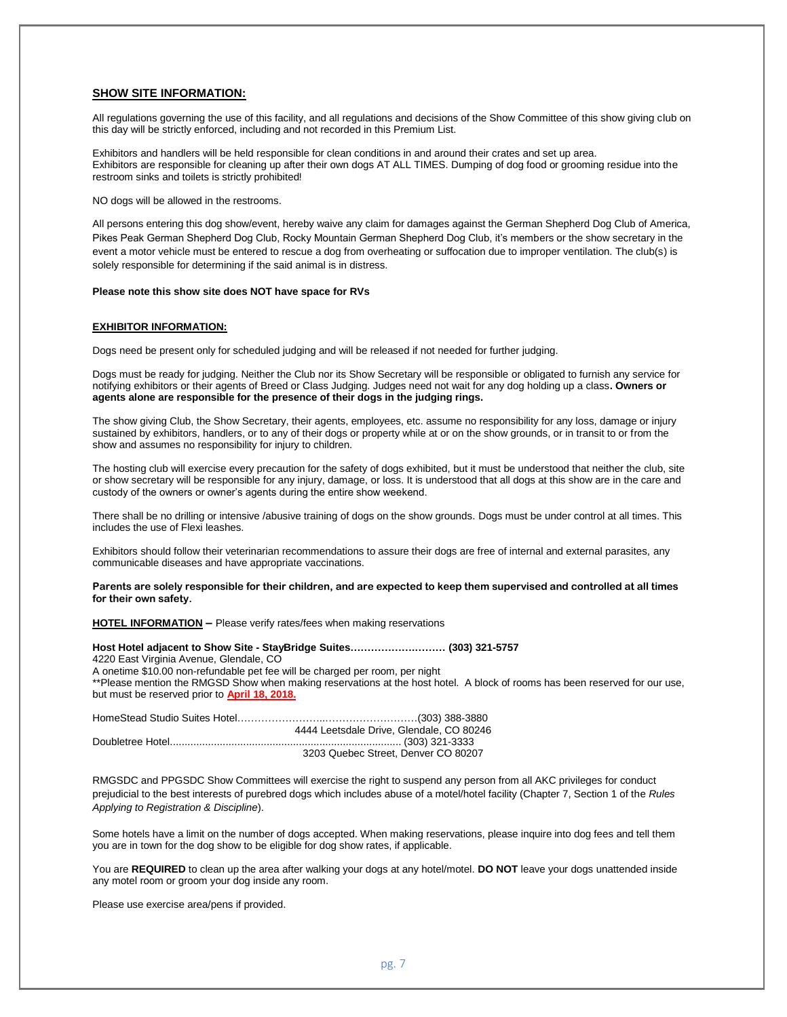## **SHOW SITE INFORMATION:**

All regulations governing the use of this facility, and all regulations and decisions of the Show Committee of this show giving club on this day will be strictly enforced, including and not recorded in this Premium List.

Exhibitors and handlers will be held responsible for clean conditions in and around their crates and set up area. Exhibitors are responsible for cleaning up after their own dogs AT ALL TIMES. Dumping of dog food or grooming residue into the restroom sinks and toilets is strictly prohibited!

NO dogs will be allowed in the restrooms.

All persons entering this dog show/event, hereby waive any claim for damages against the German Shepherd Dog Club of America, Pikes Peak German Shepherd Dog Club, Rocky Mountain German Shepherd Dog Club, it's members or the show secretary in the event a motor vehicle must be entered to rescue a dog from overheating or suffocation due to improper ventilation. The club(s) is solely responsible for determining if the said animal is in distress.

#### **Please note this show site does NOT have space for RVs**

### **EXHIBITOR INFORMATION:**

Dogs need be present only for scheduled judging and will be released if not needed for further judging.

Dogs must be ready for judging. Neither the Club nor its Show Secretary will be responsible or obligated to furnish any service for notifying exhibitors or their agents of Breed or Class Judging. Judges need not wait for any dog holding up a class**. Owners or agents alone are responsible for the presence of their dogs in the judging rings.**

The show giving Club, the Show Secretary, their agents, employees, etc. assume no responsibility for any loss, damage or injury sustained by exhibitors, handlers, or to any of their dogs or property while at or on the show grounds, or in transit to or from the show and assumes no responsibility for injury to children.

The hosting club will exercise every precaution for the safety of dogs exhibited, but it must be understood that neither the club, site or show secretary will be responsible for any injury, damage, or loss. It is understood that all dogs at this show are in the care and custody of the owners or owner's agents during the entire show weekend.

There shall be no drilling or intensive /abusive training of dogs on the show grounds. Dogs must be under control at all times. This includes the use of Flexi leashes.

Exhibitors should follow their veterinarian recommendations to assure their dogs are free of internal and external parasites, any communicable diseases and have appropriate vaccinations.

**Parents are solely responsible for their children, and are expected to keep them supervised and controlled at all times for their own safety.**

**HOTEL INFORMATION –** Please verify rates/fees when making reservations

**Host Hotel adjacent to Show Site - StayBridge Suites……………….……… (303) 321-5757** 4220 East Virginia Avenue, Glendale, CO A onetime \$10.00 non-refundable pet fee will be charged per room, per night \*\*Please mention the RMGSD Show when making reservations at the host hotel. A block of rooms has been reserved for our use, but must be reserved prior to **April 18, 2018.**

| 4444 Leetsdale Drive, Glendale, CO 80246 |
|------------------------------------------|
|                                          |
| 3203 Quebec Street, Denver CO 80207      |

RMGSDC and PPGSDC Show Committees will exercise the right to suspend any person from all AKC privileges for conduct prejudicial to the best interests of purebred dogs which includes abuse of a motel/hotel facility (Chapter 7, Section 1 of the *Rules Applying to Registration & Discipline*).

Some hotels have a limit on the number of dogs accepted. When making reservations, please inquire into dog fees and tell them you are in town for the dog show to be eligible for dog show rates, if applicable.

You are **REQUIRED** to clean up the area after walking your dogs at any hotel/motel. **DO NOT** leave your dogs unattended inside any motel room or groom your dog inside any room.

Please use exercise area/pens if provided.